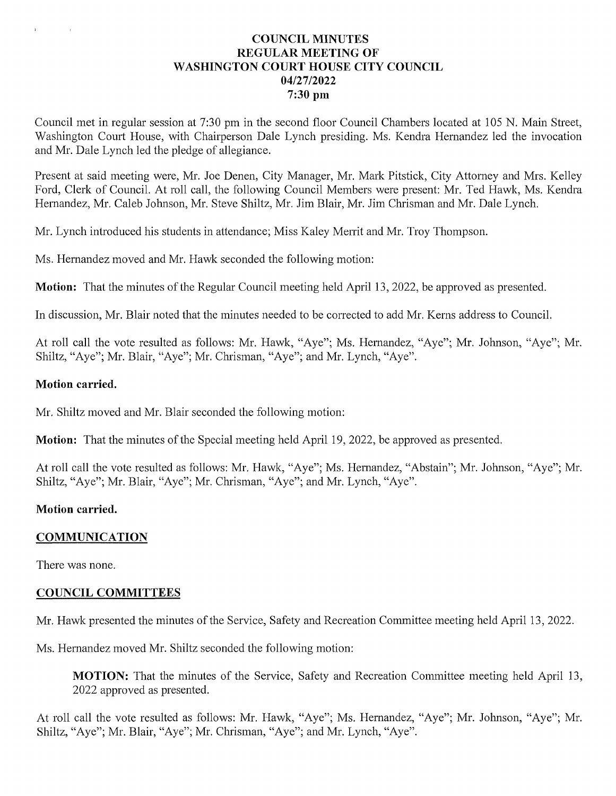### **COUNCIL MINUTES** REGULAR MEETING OF WASHINGTON COURT HOUSE CITY COUNCIL 04/27/2022 7:30 pm

Council met in regular session at 7:30 pm in the second floor Council Chambers located at <sup>105</sup> N. Main Street, Washington Court House, with Chairperson Dale Lynch presiding. Ms. Kendra Hernandez led the invocation and Mr. Dale Lynch led the pledge of allegiance.

Present at said meeting were, Mr. Joe Denen, City Manager, Mr. Mark Pitstick, City Attorney and Mrs. Kelley Ford, Clerk of Council. At roll call, the following Council Members were present: Mr. Ted Hawk, Ms. Kendra Hernandez, Mr. Caleb Johnson, Mr. Steve Shiltz, Mr. Jim Blair, Mr. Jim Chrisman and Mr. Dale Lynch.

Mr. Lynch introduced his students in attendance; Miss Kaley Merrit and Mr. Troy Thompson.

Ms. Hernandez moved and Mr. Hawk seconded the following motion:

**Motion:** That the minutes of the Regular Council meeting held April 13, 2022, be approved as presented.

In discussion, Mr. Blair noted that the minutes needed to be corrected to add Mr. Kerns address to Council.

At roll call the vote resulted as follows: Mr. Hawk, "Aye"; Ms. Hernandez, "Aye"; Mr. Johnson, "Aye"; Mr. At roll call the vote resulted as follows: Mr. Hawk, "Aye"; Ms. Hernandez<br>Shiltz, "Aye"; Mr. Blair, "Aye"; Mr. Chrisman, "Aye"; and Mr. Lynch, "Aye

#### Motion carried.

Mr. Shiltz moved and Mr. Blair seconded the following motion:

**Motion:** That the minutes of the Special meeting held April 19, 2022, be approved as presented.

At roll call the vote resulted as follows: Mr. Hawk, "Aye"; Ms. Hernandez, "Abstain"; Mr. Johnson, "Aye"; Mr. Shiltz, "Aye"; Mr. Blair, "Aye"; Mr. Chrisman, "Aye"; and Mr. Lynch, "Aye".

#### Motion carried.

#### COMMUNICATION

There was none.

#### COUNCIL COMMITTEES

Mr. Hawk presented the minutes of the Service, Safety and Recreation Committee meeting held April 13, 2022.

Ms. Hernandez moved Mr. Shiltz seconded the following motion:

MOTION: That the minutes of the Service, Safety and Recreation Committee meeting held April 13, 2022 approved as presented.

At roll call the vote resulted as follows: Mr. Hawk, "Aye"; Ms. Hernandez, "Aye"; Mr. Johnson, "Aye"; Mr. Shiltz, "Aye"; Mr. Blair, "Aye"; Mr. Chrisman, "Aye"; and Mr. Lynch, "Aye".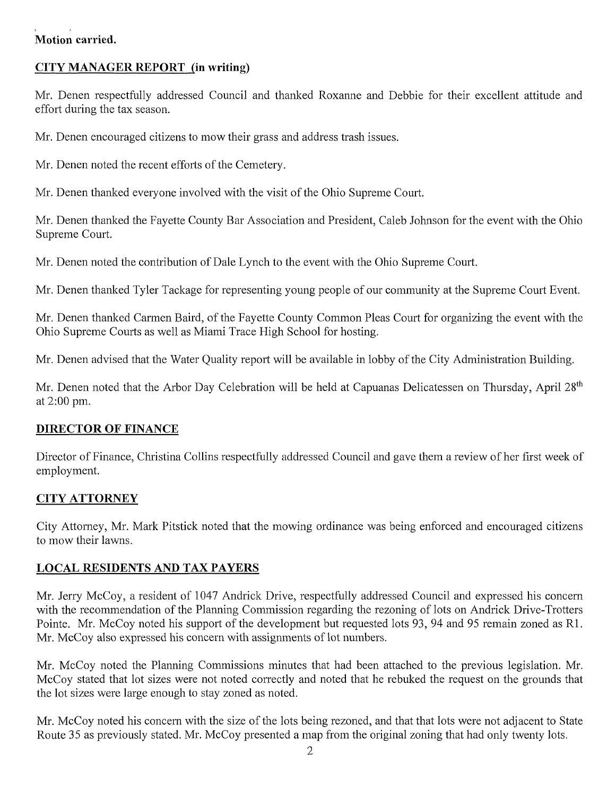# Motion carried.

# CITY MANAGER REPORT (in writing)

Mr. Denen respectfully addressed Council and thanked Roxanne and Debbie for their excellent attitude and effort during the tax season.

Mr. Denen encouraged citizens to mowtheir grass and address trash issues.

Mr. Denen noted the recent efforts of the Cemetery.

Mr. Denen thanked everyone involved with the visit of the Ohio Supreme Court.

Mr. Denen thanked the Fayette County Bar Association and President, Caleb Johnson for the event with the Ohio Supreme Court.

Mr. Denen noted the contribution of Dale Lynch to the event with the Ohio Supreme Court.

Mr. Denen thanked Tyler Tackage for representing young people of our community at the Supreme Court Event.

Mr. Denen thanked Carmen Baird, of the Fayette County Common Pleas Court for organizing the event with the Ohio Supreme Courts as well as Miami Trace High School for hosting.

Mr. Denen advised that the Water Quality report will be available in lobby of the City Administration Building.

Mr. Denen noted that the Arbor Day Celebration will be held at Capuanas Delicatessen on Thursday, April 28<sup>th</sup> at 2:00 pm.

# DIRECTOR OF FINANCE

Director of Finance, Christina Collins respectfully addressed Council and gave them a review of her first week of employment.

# CITYATTORNEY

City Attorney, Mr. Mark Pitstick noted that the mowing ordinance was being enforced and encouraged citizens City Attorney, Mr.<br>to mow their lawns.

# LOCAL RESIDENTS AND TAX PAYERS

Mr. Jerry McCoy, a resident of 1047 Andrick Drive, respectfully addressed Council and expressed his concern with the recommendation of the Planning Commission regarding the rezoning of lots on Andrick Drive-Trotters Pointe. Mr. McCoy noted his support of the development but requested lots 93, 94 and 95 remain zoned as R1. Mr. McCoy also expressed his concern with assignments of lot numbers.

Mr. McCoy noted the Planning Commissions minutes that had been attached to the previous legislation. Mr. McCoy stated that lot sizes were not noted correctly and noted that he rebuked the request on the grounds that the lot sizes were large enough to stay zoned as noted.

Mr. McCoy noted his concern with the size of the lots being rezoned, and that that lots were not adjacent to State Route 35 as previously stated. Mr. McCoy presented a map from the original zoning that had only twenty lots.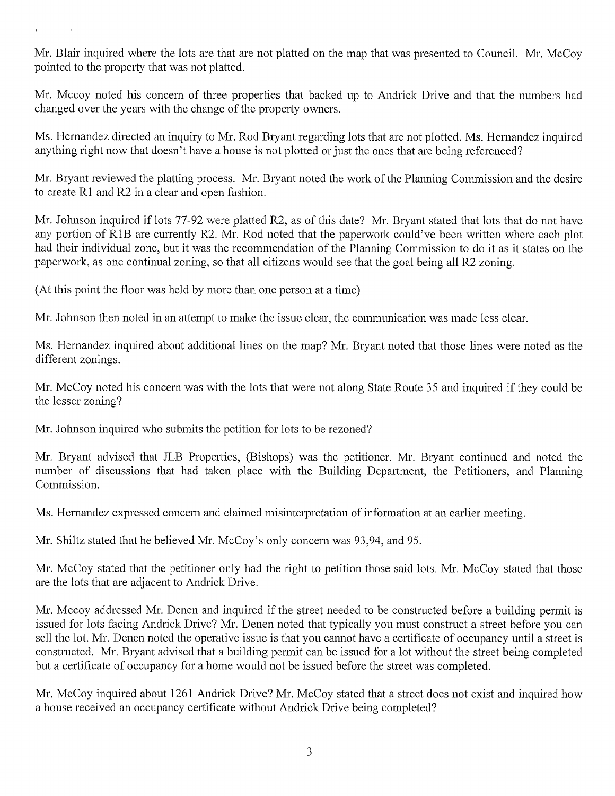Mr. Blair inquired where the lots are that are not platted on the map that was presented to Council. Mr. McCoy pointed to the property that was not platted.

Mr. Mccoy noted his concern of three properties that backed up to Andrick Drive and that the numbers had changed over the years with the change of the property owners.

Ms. Hernandez directed an inquiry to Mr. Rod Bryant regarding lots that are not plotted. Ms. Hernandez inquired Ms. Hernandez directed an inquiry to Mr. Rod Bryant regarding lots that are not plotted. Ms. Hernan<br>anything right now that doesn't have a house is not plotted or just the ones that are being referenced?

Mr. Bryant reviewed the platting process. Mr. Bryant noted the work of the Planning Commission and the desire to create R1 and R2 in a clear and open fashion.

Mr. Johnson inquired if lots 77-92 were platted R2, as of this date? Mr. Bryant stated that lots that do not have any portion of R1B are currently R2. Mr. Rod noted that the paperwork could've been written where each plot had their individual zone, but it was the recommendation of the Planning Commission to do it as it states on the paperwork, as one continual zoning, so that all citizens would see that the goal being all R2zoning.

(At this point the floor was held by more than one person at a time)

Mr. Johnson then noted in an attempt to make the issue clear, the communication was made less clear.

Ms. Hernandez inquired about additional lines on the map? Mr. Bryant noted that those lines were noted as the different zonings.

Mr. McCoy noted his concern was with the lots that were not along State Route 35 and inquired if they could be the lesser zoning?

Mr. Johnson inquired who submits the petition for lots to be rezoned?

Mr. Bryant advised that JLB Properties, (Bishops) was the petitioner. Mr. Bryant continued and noted the number of discussions that had taken place with the Building Department, the Petitioners, and Planning Commission.

Ms. Hernandez expressed concern and claimed misinterpretation of information at an earlier meeting.

Mr. Shiltz stated that he believed Mr. McCoy's only concern was 93,94, and 95.

Mr. McCoy stated that the petitioner only had the right to petition those said lots. Mr. McCoy stated that those are the lots that are adjacent to Andrick Drive.

Mr. Mccoy addressed Mr. Denen and inquired if the street needed to be constructed before a building permit is issued for lots facing Andrick Drive? Mr. Denen noted that typically you must construct a street before you can sell the lot. Mr. Denen noted the operative issue is that you cannot have a certificate of occupancy until a street is constructed. Mr. Bryant advised that a building permit can be issued for a lot without the street being completed but a certificate of occupancy for a home would not be issued before the street was completed.

Mr. McCoy inquired about 1261 Andrick Drive? Mr. McCoy stated that a street does not exist and inquired how a house received an occupancy certificate without Andrick Drive being completed?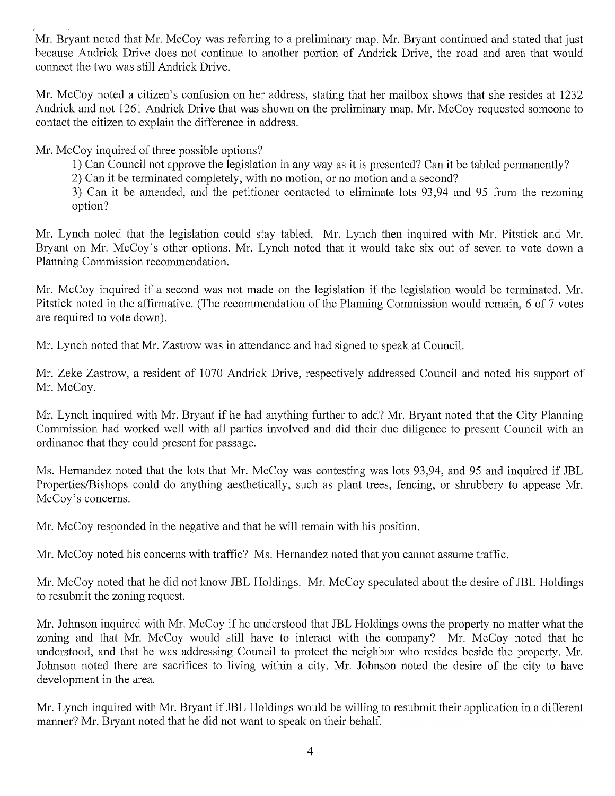Mr. Bryant noted that Mr. McCoy was referring to a preliminary map. Mr. Bryant continued and stated that just because Andrick Drive does not continue to another portion of Andrick Drive, the road and area that would connect the two was still Andrick Drive.

Mr. McCoy noted a citizen's confusion on her address, stating that her mailbox shows that she resides at 1232 Andrick and not 1261 Andrick Drive that was shown on the preliminary map. Mr. McCoyrequested someone to contact the citizen to explain the difference in address.

Mr. McCoy inquired of three possible options?

- 1) Can Council not approve the legislation in any way as it is presented? Can it be tabled permanently?
- 2) Can it be terminated completely, with no motion, or no motion and a second?

3) Can it be amended, and the petitioner contacted to eliminate lots 93,94 and 95 from the rezoning option?

Mr. Lynch noted that the legislation could stay tabled. Mr. Lynch then inquired with Mr. Pitstick and Mr. Mr. Lynch noted that the legislation could stay tabled. Mr. Lynch then inquired with Mr. Pitstick and M<br>Bryant on Mr. McCoy's other options. Mr. Lynch noted that it would take six out of seven to vote down Bryant on Mr. McCoy's other options. Mr. Lynch noted that it would take six out of seven to vote down a Planning Commission recommendation.

Mr. McCoy inquired if second was not made on the legislation if the legislation would be terminated. Mr. Pitstick noted in the affirmative. (The recommendation of the Planning Commission would remain, 6 of 7 votes are required to vote down).

Mr. Lynch noted that Mr. Zastrow was in attendance and had signed to speak at Council.

Mr. Zeke Zastrow, a resident of 1070 Andrick Drive, respectively addressed Council and noted his support of Mr. McCoy.

Mr. Lynch inquired with Mr. Bryant if he had anything further to add? Mr. Bryant noted that the City Planning Commission had worked well with all parties involved and did their due diligence to present Council with an ordinance that they could present for passage.

Ms. Hernandez noted that the lots that Mr. McCoy was contesting was lots 93,94, and 95 and inquired if JBL Properties/Bishops could do anything aesthetically, such as plant trees, fencing, or shrubbery to appease Mr. McCoy's concerns.

Mr. McCoy responded in the negative and that he will remain with his position.

Mr. McCoy noted his concerns with traffic? Ms. Hernandez noted that you cannot assume traffic.

Mr. McCoy noted that he did not know JBL Holdings. Mr. McCoy speculated about the desire of JBL Holdings to resubmit the zoning request.

Mr. Johnson inquired with Mr. McCoy if he understood that JBL Holdings owns the property no matter what the zoning and that Mr. McCoy would still have to interact with the company? Mr. McCoy noted that he understood, and that he was addressing Council to protect the neighbor who resides beside the property. Mr. Johnson noted there are sacrifices to living within a city. Mr. Johnson noted the desire of the city to have development in the area.

Mr. Lynch inquired with Mr. Bryant if JBL Holdings would be willing to resubmit their application in a different manner? Mr. Bryant noted that he did not want to speak on their behalf.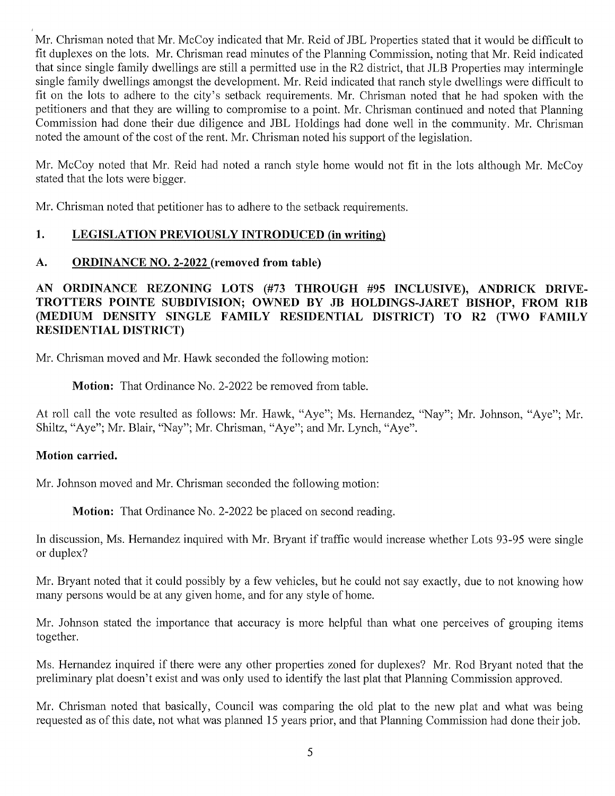Mr. Chrisman noted that Mr. McCoy indicated that Mr. Reid of JBL Properties stated that it would be difficult to Mr. Chrisman noted that Mr. McCoy indicated that Mr. Reid of JBL Properties stated that it would be difficult to<br>fit duplexes on the lots. Mr. Chrisman read minutes of the Planning Commission, noting that Mr. Reid indicate fit duplexes on the lots. Mr. Chrisman read minutes of the Planning Commission, noting that Mr. Reid indicated<br>that since single family dwellings are still a permitted use in the R2 district, that JLB Properties may interm that since single family dwellings are still a permitted use in the R2 district, that JLB Properties may intermingle single family dwellings amongst the development. Mr. Reid indicated that ranch style dwellings were diffi fit on the lots to adhere to the city's setback requirements. Mr. Chrisman noted that he had spoken with the petitioners and that they are willing to compromise to a point. Mr. Chrisman continued and noted that Planning Commission had done their due diligence and JBL Holdings had done well in the community. Mr. Chrisman noted the amount of the cost of the rent. Mr. Chrisman noted his support of the legislation.

Mr. McCoy noted that Mr. Reid had noted a ranch style home would not fit in the lots although Mr. McCoy stated that the lots were bigger.

Mr. Chrisman noted that petitioner has to adhere to the setback requirements.

# 1. LEGISLATION PREVIOUSLY INTRODUCED (in writing)

# A. ORDINANCE NO. 2-2022 (removed from table)

# AN ORDINANCE REZONING LOTS (#73 THROUGH #95 INCLUSIVE), ANDRICK DRIVE AN ORDINANCE REZONING LOTS (#73 THROUGH #95 INCLUSIVE), ANDRICK DRIVE-<br>TROTTERS POINTE SUBDIVISION; OWNED BY JB HOLDINGS-JARET BISHOP, FROM RIB TROTTERS POINTE SUBDIVISION; OWNED BY JB HOLDINGS-JARET BISHOP, FROM R1B<br>(MEDIUM DENSITY SINGLE FAMILY RESIDENTIAL DISTRICT) TO R2 (TWO FAMILY (MEDIUM DENSITY SINGLE FAMILY RESIDENTIAL DISTRICT) TO R2 (TWO FAMILY<br>RESIDENTIALDISTRICT)

Mr. Chrisman moved and Mr. Hawk seconded the following motion:

**Motion:** That Ordinance No. 2-2022 be removed from table.

At roll call the vote resulted as follows: Mr. Hawk, "Aye"; Ms. Hernandez, "Nay"; Mr. Johnson, "Aye"; Mr. At roll call the vote resulted as follows: Mr. Hawk, "Aye"; Ms. Hernandez<br>Shiltz, "Aye"; Mr. Blair, "Nay"; Mr. Chrisman, "Aye"; and Mr. Lynch, "Aye

#### Motion carried.

Mr. Johnson moved and Mr. Chrisman seconded the following motion:

Motion: That Ordinance No. 2-2022 be placed on second reading.

In discussion, Ms. Hernandez inquired with Mr. Bryant if traffic would increase whether Lots 93-95 were single or duplex?

Mr. Bryant noted that it could possibly by a few vehicles, but he could not say exactly, due to not knowing how many persons would be at any given home, and for any style of home.

Mr. Johnson stated the importance that accuracy is more helpful than what one perceives of grouping items together.

Ms. Hernandez inquired if there were any other properties zoned for duplexes? Mr. Rod Bryant noted that the preliminary plat doesn't exist and was only used to identify the last plat that Planning Commission approved.

Mr. Chrisman noted that basically, Council was comparing the old plat to the new plat and what was being requested as of this date, not what was planned 15 years prior, and that Planning Commission had done their job.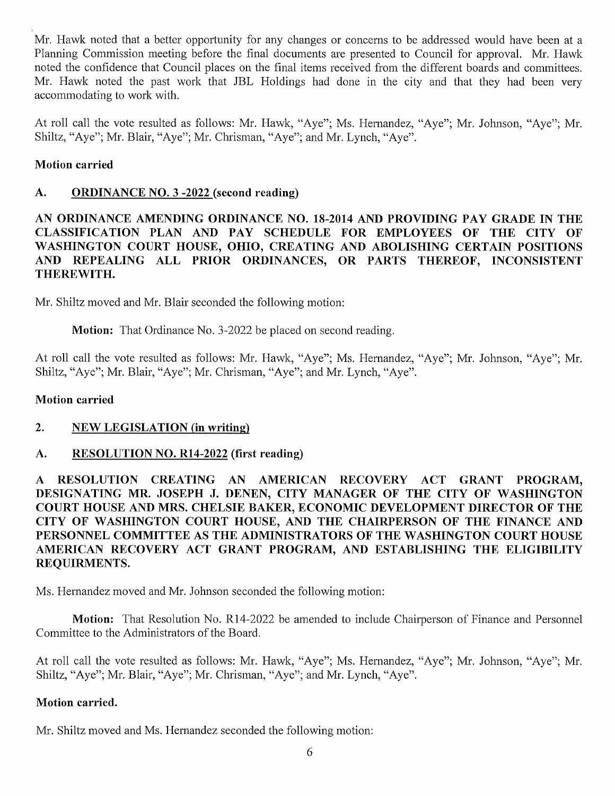Mr. Hawk noted that a better opportunity for any changes or concerns to be addressed would have been at a Planning Commission meeting before the final documents are presented to Council for approval. Mr. Hawk noted the confidence that Council places on the final items received from the different boards and committees. Mr. Hawk noted the past work that JBL Holdings had done in the city and that they had been very accommodating to work with.

At roll call the vote resulted as follows: Mr. Hawk, "Aye"; Ms. Hernandez, "Aye"; Mr. Johnson, "Aye"; Mr. Shiltz, "Aye"; Mr. Blair, "Aye"; Mr. Chrisman, "Aye"; and Mr. Lynch, "Aye".

### Motion carried

#### A. ORDINANCE NO. 3 -2022 (second reading)

# AN ORDINANCE AMENDING ORDINANCE NO. 18-2014 AND PROVIDING PAY GRADE IN THE AN ORDINANCE AMENDING ORDINANCE NO. 18-2014 AND PROVIDING PAY GRADE IN THE CLASSIFICATION PLAN AND PAY SCHEDULE FOR EMPLOYEES OF THE CITY OF CLASSIFICATION PLAN AND PAY SCHEDULE FOR EMPLOYEES OF THE CITY OF WASHINGTON COURT HOUSE, OHIO, CREATING AND ABOLISHING CERTAIN POSITIONS WASHINGTON COURT HOUSE, OHIO, CREATING AND ABOLISHING CERTAIN POSITIONS<br>AND REPEALING ALL PRIOR ORDINANCES, OR PARTS THEREOF, INCONSISTENT AND REPEA<br>THEREWITH<mark>.</mark>

Mr. Shiltz moved and Mr. Blair seconded the following motion:

Motion: That Ordinance No. 3-2022 be placed on second reading.

At roll call the vote resulted as follows: Mr. Hawk, "Aye"; Ms. Hernandez, "Aye"; Mr. Johnson, "Aye"; Mr. Shiltz, "Aye"; Mr. Blair, "Aye"; Mr. Chrisman, "Aye"; and Mr. Lynch, "Aye".

#### Motion carried

#### 2. NEW LEGISLATION (in writing)

# A. RESOLUTION NO. R14-2022 (first reading)

RESOLUTION CREATING AN AMERICAN RECOVERY ACT GRANT PROGRAM, A RESOLUTION CREATING AN AMERICAN RECOVERY ACT GRANT PROGRAM,<br>DESIGNATING MR. JOSEPH J. DENEN, CITY MANAGER OF THE CITY OF WASHINGTON DESIGNATING MR. JOSEPH J. DENEN, CITY MANAGER OF THE CITY OF WASHINGTON<br>COURT HOUSE AND MRS. CHELSIE BAKER, ECONOMIC DEVELOPMENT DIRECTOR OF THE<br>CULL OF WASHINGTON COURT HOUSE AND THE GUADEPEGN OF THE TIMANGE. AND COURT HOUSE AND MRS. CHELSIE BAKER, ECONOMIC DEVELOPMENT DIRECTOR OF THE<br>CITY OF WASHINGTON COURT HOUSE, AND THE CHAIRPERSON OF THE FINANCE AND<br>PERSONNIL GOLD WEEDLA THE LOUISED LEONG OF THE WALKINGTON GOURT VOUGH CITY OF WASHINGTON COURT HOUSE, AND THE CHAIRPERSON OF THE FINANCE AND PERSONNEL COMMITTEE AS THE ADMINISTRATORS OF THE WASHINGTON COURT HOUSE PERSONNEL COMMITTEE AS THE ADMINISTRATORS OF THE WASHINGTON COURT HOUSE AMERICAN RECOVERY ACT GRANT PROGRAM, AND ESTABLISHING THE ELIGIBILITY REQUIRMENTS. AMERICAN RECOVERY ACT GRANT PROGRAM, AND ESTABLISHING THE ELIGIBILITY

Ms. Hernandez moved and Mr. Johnson seconded the following motion:

Motion: That Resolution No. R14-2022 be amended to include Chairperson of Finance and Personnel Committee to the Administrators of the Board.

At roll call the vote resulted as follows: Mr. Hawk, "Aye"; Ms. Hernandez, "Aye"; Mr. Johnson, "Aye"; Mr. Shiltz, "Aye"; Mr. Blair, "Aye"; Mr. Chrisman, "Aye"; and Mr. Lynch, "Aye".

#### Motion carried.

Mr. Shiltz moved and Ms. Hernandez seconded the following motion: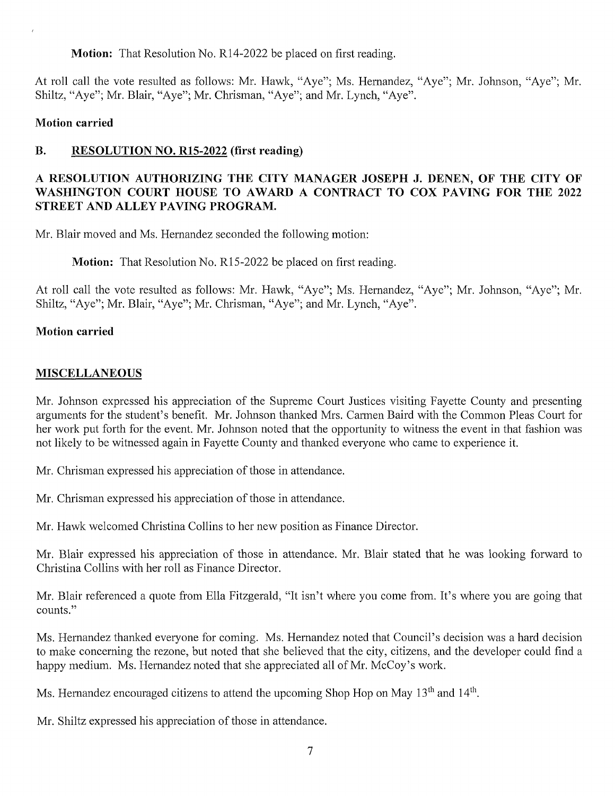Motion: That Resolution No. R14-2022 be placed on first reading.

At roll call the vote resulted as follows: Mr. Hawk, "Aye"; Ms. Hernandez, "Aye"; Mr. Johnson, "Aye"; Mr. Shiltz, "Aye"; Mr. Blair, "Aye"; Mr. Chrisman, "Aye"; and Mr. Lynch, "Aye".

#### Motion carried

# B. RESOLUTION NO. R15-2022 (first reading)

# RESOLUTION AUTHORIZING THE CITY MANAGER JOSEPH J. DENEN, OF THE CITY OF HEREOLUTION AUTHORIZING THE CITY MANAGER JOSEPH J. DENEN, OF THE CITY OF A RESOLUTION AUTHORIZING THE CITY MANAGER JOSEPH J. DENEN, OF THE CITY OF WASHINGTON COURT HOUSE TO AWARD A CONTRACT TO COX PAVING FOR THE 2022 WASHINGTON COURT HOUSE TO AWARD A CONTRACT TO COX PAVING FOR THE 2022 STREET AND ALLEY PAVING PROGRAM.

Mr. Blair moved and Ms. Hernandez seconded the following motion:

Motion: That Resolution No. R15-2022 be placed on first reading.

At roll call the vote resulted as follows: Mr. Hawk, "Aye"; Ms. Hernandez, "Aye"; Mr. Johnson, "Aye"; Mr. Shiltz, "Aye"; Mr. Blair, "Aye"; Mr. Chrisman, "Aye"; and Mr. Lynch, "Aye".

### Motion carried

# MISCELLANEOUS

Mr. Johnson expressed his appreciation of the Supreme Court Justices visiting Fayette County and presenting arguments for the student's benefit. Mr. Johnson thanked Mrs. Carmen Baird with the Common Pleas Court for her work put forth for the event. Mr. Johnson noted that the opportunity to witness the event in that fashion was not likely to be witnessed again in Fayette County and thanked everyone who came to experience it.

Mr. Chrisman expressed his appreciation of those in attendance.

Mr. Chrisman expressed his appreciation of those in attendance.

Mr. Hawk welcomed Christina Collins to her new position as Finance Director.

Mr. Blair expressed his appreciation of those in attendance. Mr. Blair stated that he was looking forward to Christina Collins with her roll as Finance Director.

Mr. Blair referenced a quote from Ella Fitzgerald, "It isn't where you come from. It's where you are going that counts.

Ms. Hernandez thanked everyone for coming. Ms. Hernandez noted that Council's decision was a hard decision to make concerning the rezone, but noted that she believed that the city, citizens, and the developer could find happy medium. Ms. Hernandez noted that she appreciated all of Mr. McCoy's work.

Ms. Hernandez encouraged citizens to attend the upcoming Shop Hop on May 13<sup>th</sup> and 14<sup>th</sup>.

Mr. Shiltz expressed his appreciation of those in attendance.